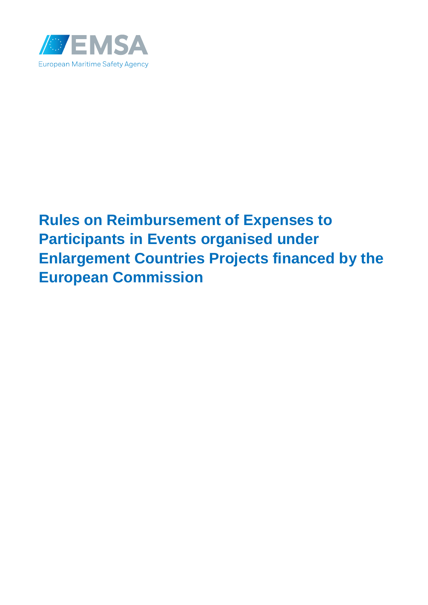

# **Rules on Reimbursement of Expenses to Participants in Events organised under Enlargement Countries Projects financed by the European Commission**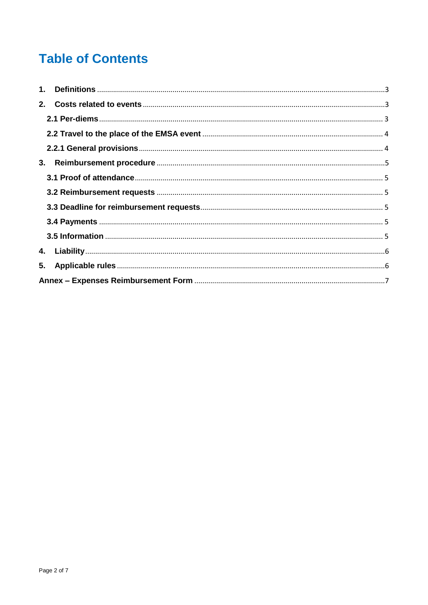# **Table of Contents**

| 3. |  |  |  |  |  |  |
|----|--|--|--|--|--|--|
|    |  |  |  |  |  |  |
|    |  |  |  |  |  |  |
|    |  |  |  |  |  |  |
|    |  |  |  |  |  |  |
|    |  |  |  |  |  |  |
|    |  |  |  |  |  |  |
|    |  |  |  |  |  |  |
|    |  |  |  |  |  |  |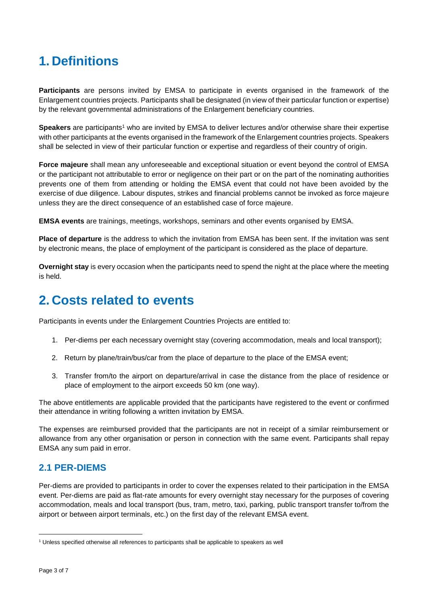# <span id="page-2-0"></span>**1. Definitions**

**Participants** are persons invited by EMSA to participate in events organised in the framework of the Enlargement countries projects. Participants shall be designated (in view of their particular function or expertise) by the relevant governmental administrations of the Enlargement beneficiary countries.

**Speakers** are participants<sup>1</sup> who are invited by EMSA to deliver lectures and/or otherwise share their expertise with other participants at the events organised in the framework of the Enlargement countries projects. Speakers shall be selected in view of their particular function or expertise and regardless of their country of origin.

**Force majeure** shall mean any unforeseeable and exceptional situation or event beyond the control of EMSA or the participant not attributable to error or negligence on their part or on the part of the nominating authorities prevents one of them from attending or holding the EMSA event that could not have been avoided by the exercise of due diligence. Labour disputes, strikes and financial problems cannot be invoked as force majeure unless they are the direct consequence of an established case of force majeure.

**EMSA events** are trainings, meetings, workshops, seminars and other events organised by EMSA.

**Place of departure** is the address to which the invitation from EMSA has been sent. If the invitation was sent by electronic means, the place of employment of the participant is considered as the place of departure.

**Overnight stay** is every occasion when the participants need to spend the night at the place where the meeting is held.

### <span id="page-2-1"></span>**2. Costs related to events**

Participants in events under the Enlargement Countries Projects are entitled to:

- 1. Per-diems per each necessary overnight stay (covering accommodation, meals and local transport);
- 2. Return by plane/train/bus/car from the place of departure to the place of the EMSA event;
- 3. Transfer from/to the airport on departure/arrival in case the distance from the place of residence or place of employment to the airport exceeds 50 km (one way).

The above entitlements are applicable provided that the participants have registered to the event or confirmed their attendance in writing following a written invitation by EMSA.

The expenses are reimbursed provided that the participants are not in receipt of a similar reimbursement or allowance from any other organisation or person in connection with the same event. Participants shall repay EMSA any sum paid in error.

#### <span id="page-2-2"></span>**2.1 PER-DIEMS**

Per-diems are provided to participants in order to cover the expenses related to their participation in the EMSA event. Per-diems are paid as flat-rate amounts for every overnight stay necessary for the purposes of covering accommodation, meals and local transport (bus, tram, metro, taxi, parking, public transport transfer to/from the airport or between airport terminals, etc.) on the first day of the relevant EMSA event.

 $\overline{\phantom{a}}$ 

<sup>1</sup> Unless specified otherwise all references to participants shall be applicable to speakers as well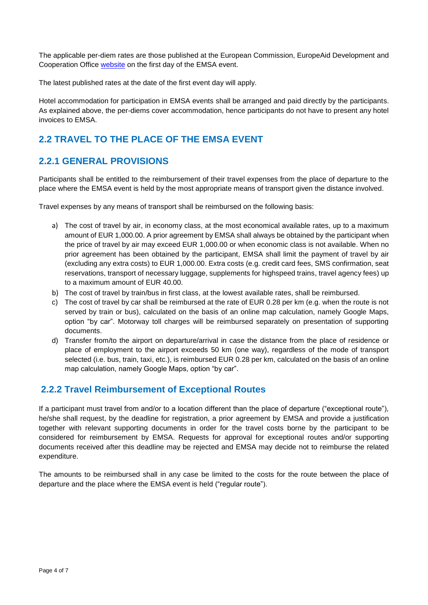The applicable per-diem rates are those published at the European Commission, EuropeAid Development and Cooperation Office [website](https://ec.europa.eu/europeaid/work/procedures/implementation/per_diems/index_en.htm_en) on the first day of the EMSA event.

The latest published rates at the date of the first event day will apply.

Hotel accommodation for participation in EMSA events shall be arranged and paid directly by the participants. As explained above, the per-diems cover accommodation, hence participants do not have to present any hotel invoices to EMSA.

### <span id="page-3-0"></span>**2.2 TRAVEL TO THE PLACE OF THE EMSA EVENT**

### <span id="page-3-1"></span>**2.2.1 GENERAL PROVISIONS**

Participants shall be entitled to the reimbursement of their travel expenses from the place of departure to the place where the EMSA event is held by the most appropriate means of transport given the distance involved.

Travel expenses by any means of transport shall be reimbursed on the following basis:

- a) The cost of travel by air, in economy class, at the most economical available rates, up to a maximum amount of EUR 1,000.00. A prior agreement by EMSA shall always be obtained by the participant when the price of travel by air may exceed EUR 1,000.00 or when economic class is not available. When no prior agreement has been obtained by the participant, EMSA shall limit the payment of travel by air (excluding any extra costs) to EUR 1,000.00. Extra costs (e.g. credit card fees, SMS confirmation, seat reservations, transport of necessary luggage, supplements for highspeed trains, travel agency fees) up to a maximum amount of EUR 40.00.
- b) The cost of travel by train/bus in first class, at the lowest available rates, shall be reimbursed.
- c) The cost of travel by car shall be reimbursed at the rate of EUR 0.28 per km (e.g. when the route is not served by train or bus), calculated on the basis of an online map calculation, namely Google Maps, option "by car". Motorway toll charges will be reimbursed separately on presentation of supporting documents.
- d) Transfer from/to the airport on departure/arrival in case the distance from the place of residence or place of employment to the airport exceeds 50 km (one way), regardless of the mode of transport selected (i.e. bus, train, taxi, etc.), is reimbursed EUR 0.28 per km, calculated on the basis of an online map calculation, namely Google Maps, option "by car".

#### **2.2.2 Travel Reimbursement of Exceptional Routes**

If a participant must travel from and/or to a location different than the place of departure ("exceptional route"), he/she shall request, by the deadline for registration, a prior agreement by EMSA and provide a justification together with relevant supporting documents in order for the travel costs borne by the participant to be considered for reimbursement by EMSA. Requests for approval for exceptional routes and/or supporting documents received after this deadline may be rejected and EMSA may decide not to reimburse the related expenditure.

The amounts to be reimbursed shall in any case be limited to the costs for the route between the place of departure and the place where the EMSA event is held ("regular route").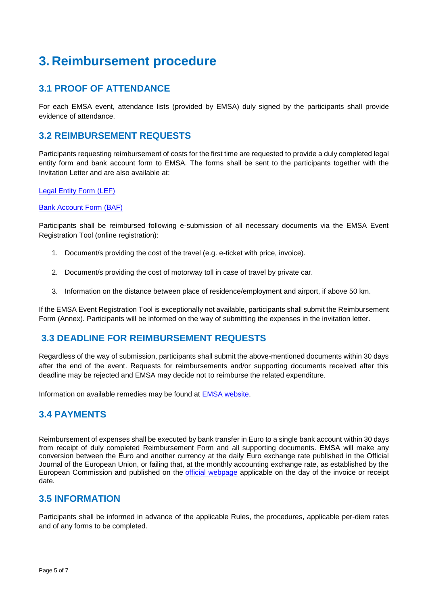### <span id="page-4-0"></span>**3. Reimbursement procedure**

### <span id="page-4-1"></span>**3.1 PROOF OF ATTENDANCE**

For each EMSA event, attendance lists (provided by EMSA) duly signed by the participants shall provide evidence of attendance.

#### <span id="page-4-2"></span>**3.2 REIMBURSEMENT REQUESTS**

Participants requesting reimbursement of costs for the first time are requested to provide a duly completed legal entity form and bank account form to EMSA. The forms shall be sent to the participants together with the Invitation Letter and are also available at:

#### [Legal Entity Form \(LEF\)](http://ec.europa.eu/budget/contracts_grants/info_contracts/legal_entities/legal-entities_en.cfm)

#### [Bank Account Form \(BAF\)](http://ec.europa.eu/budget/contracts_grants/info_contracts/financial_id/financial-id_en.cfm)

Participants shall be reimbursed following e-submission of all necessary documents via the EMSA Event Registration Tool (online registration):

- 1. Document/s providing the cost of the travel (e.g. e-ticket with price, invoice).
- 2. Document/s providing the cost of motorway toll in case of travel by private car.
- 3. Information on the distance between place of residence/employment and airport, if above 50 km.

If the EMSA Event Registration Tool is exceptionally not available, participants shall submit the Reimbursement Form (Annex). Participants will be informed on the way of submitting the expenses in the invitation letter.

#### <span id="page-4-3"></span>**3.3 DEADLINE FOR REIMBURSEMENT REQUESTS**

Regardless of the way of submission, participants shall submit the above-mentioned documents within 30 days after the end of the event. Requests for reimbursements and/or supporting documents received after this deadline may be rejected and EMSA may decide not to reimburse the related expenditure.

Information on available remedies may be found at [EMSA website](http://www.emsa.europa.eu/emsa-homepage/156-uncategorised/1512-remedies.html).

#### <span id="page-4-4"></span>**3.4 PAYMENTS**

Reimbursement of expenses shall be executed by bank transfer in Euro to a single bank account within 30 days from receipt of duly completed Reimbursement Form and all supporting documents. EMSA will make any conversion between the Euro and another currency at the daily Euro exchange rate published in the Official Journal of the European Union, or failing that, at the monthly accounting exchange rate, as established by the European Commission and published on the *[official webpage](http://ec.europa.eu/budget/contracts_grants/info_contracts/inforeuro/index_en.cfm)* applicable on the day of the invoice or receipt date.

#### <span id="page-4-5"></span>**3.5 INFORMATION**

Participants shall be informed in advance of the applicable Rules, the procedures, applicable per-diem rates and of any forms to be completed.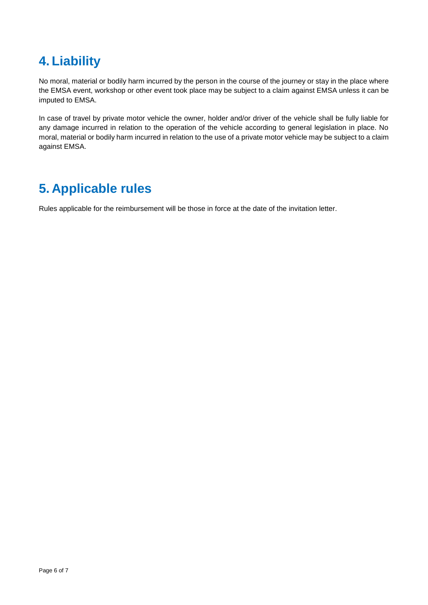### <span id="page-5-0"></span>**4. Liability**

No moral, material or bodily harm incurred by the person in the course of the journey or stay in the place where the EMSA event, workshop or other event took place may be subject to a claim against EMSA unless it can be imputed to EMSA.

In case of travel by private motor vehicle the owner, holder and/or driver of the vehicle shall be fully liable for any damage incurred in relation to the operation of the vehicle according to general legislation in place. No moral, material or bodily harm incurred in relation to the use of a private motor vehicle may be subject to a claim against EMSA.

# <span id="page-5-1"></span>**5. Applicable rules**

Rules applicable for the reimbursement will be those in force at the date of the invitation letter.